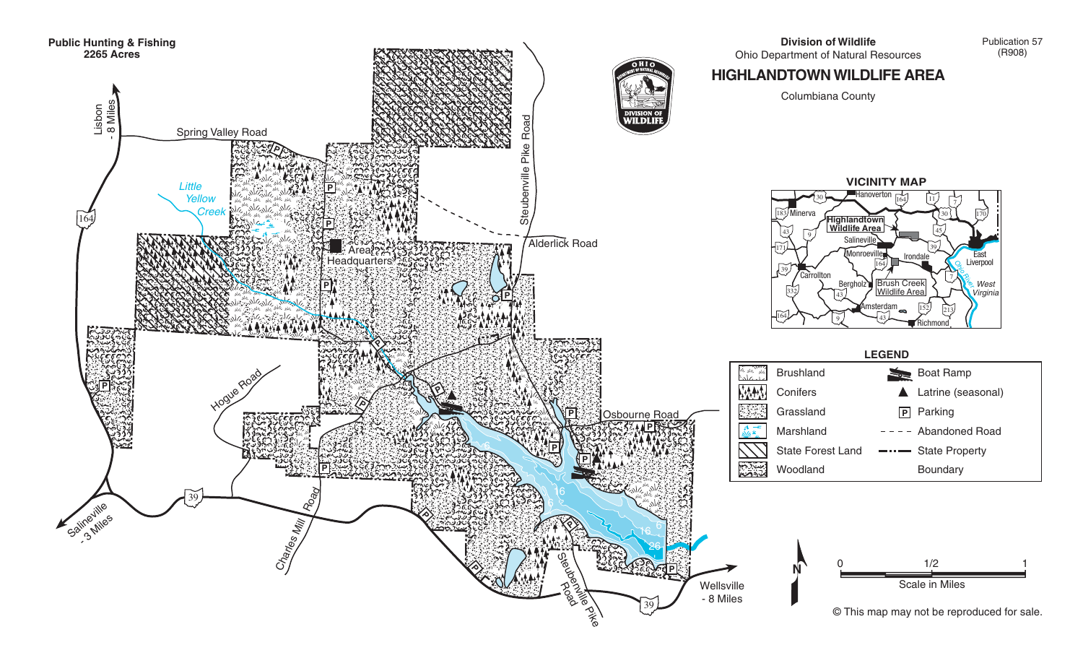